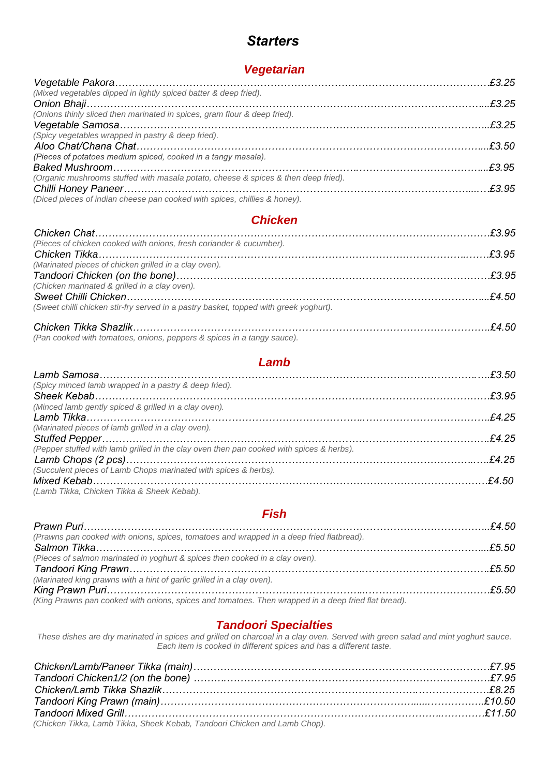# *Starters*

# *Vegetarian*

| (Mixed vegetables dipped in lightly spiced batter & deep fried).                   |  |
|------------------------------------------------------------------------------------|--|
|                                                                                    |  |
| (Onions thinly sliced then marinated in spices, gram flour & deep fried).          |  |
|                                                                                    |  |
| (Spicy vegetables wrapped in pastry & deep fried).                                 |  |
|                                                                                    |  |
| (Pieces of potatoes medium spiced, cooked in a tangy masala).                      |  |
|                                                                                    |  |
| (Organic mushrooms stuffed with masala potato, cheese & spices & then deep fried). |  |
|                                                                                    |  |
| (Diced pieces of indian cheese pan cooked with spices, chillies & honey).          |  |

#### *Chicken*

| E3.95 كتيبي المستقل المستقلة المستقلة المستقلة المستقلة المستقلة المستقلة المستقلة المستقلة المستقلة المستقلة المستقلة |  |
|------------------------------------------------------------------------------------------------------------------------|--|
| (Pieces of chicken cooked with onions, fresh coriander & cucumber).                                                    |  |
|                                                                                                                        |  |
| (Marinated pieces of chicken grilled in a clay oven).                                                                  |  |
|                                                                                                                        |  |
| (Chicken marinated & grilled in a clay oven).                                                                          |  |
|                                                                                                                        |  |
| (Sweet chilli chicken stir-fry served in a pastry basket, topped with greek yoghurt).                                  |  |
|                                                                                                                        |  |

| (Pan cooked with tomatoes, onions, peppers & spices in a tangy sauce). |
|------------------------------------------------------------------------|

### *Lamb*

| (Spicy minced lamb wrapped in a pastry & deep fried).                                    |  |
|------------------------------------------------------------------------------------------|--|
|                                                                                          |  |
| (Minced lamb gently spiced & grilled in a clay oven).                                    |  |
|                                                                                          |  |
| (Marinated pieces of lamb grilled in a clay oven).                                       |  |
|                                                                                          |  |
| (Pepper stuffed with lamb grilled in the clay oven then pan cooked with spices & herbs). |  |
|                                                                                          |  |
| (Succulent pieces of Lamb Chops marinated with spices & herbs).                          |  |
|                                                                                          |  |
| (Lamb Tikka, Chicken Tikka & Sheek Kebab).                                               |  |

#### *Fish*

| (Prawns pan cooked with onions, spices, tomatoes and wrapped in a deep fried flatbread).            |  |
|-----------------------------------------------------------------------------------------------------|--|
|                                                                                                     |  |
| (Pieces of salmon marinated in yoghurt & spices then cooked in a clay oven).                        |  |
|                                                                                                     |  |
| (Marinated king prawns with a hint of garlic grilled in a clay oven).                               |  |
|                                                                                                     |  |
| (King Prawns pan cooked with onions, spices and tomatoes. Then wrapped in a deep fried flat bread). |  |

## *Tandoori Specialties*

*These dishes are dry marinated in spices and grilled on charcoal in a clay oven. Served with green salad and mint yoghurt sauce. Each item is cooked in different spices and has a different taste.*

| (Chicken Tikka, Lamb Tikka, Sheek Kebab, Tandoori Chicken and Lamb Chop). |  |
|---------------------------------------------------------------------------|--|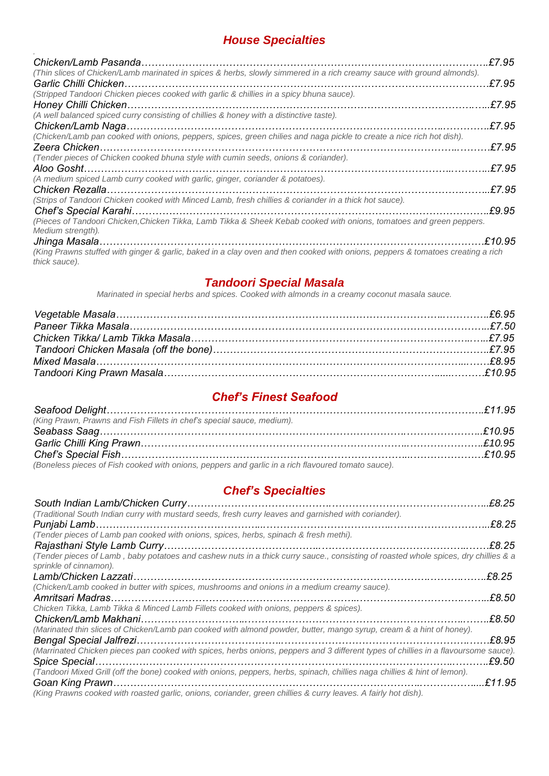# *House Specialties*

| (Thin slices of Chicken/Lamb marinated in spices & herbs, slowly simmered in a rich creamy sauce with ground almonds).          | £7.95   |
|---------------------------------------------------------------------------------------------------------------------------------|---------|
|                                                                                                                                 | £7.95   |
| (Stripped Tandoori Chicken pieces cooked with garlic & chillies in a spicy bhuna sauce).                                        |         |
|                                                                                                                                 | £7.95   |
| (A well balanced spiced curry consisting of chillies & honey with a distinctive taste).                                         |         |
|                                                                                                                                 | £7.95   |
| (Chicken/Lamb pan cooked with onions, peppers, spices, green chilies and naga pickle to create a nice rich hot dish).           |         |
|                                                                                                                                 | £7.95.  |
| (Tender pieces of Chicken cooked bhuna style with cumin seeds, onions & coriander).                                             |         |
|                                                                                                                                 | £7.95   |
| (A medium spiced Lamb curry cooked with garlic, ginger, coriander & potatoes).                                                  |         |
|                                                                                                                                 | £7.95   |
| (Strips of Tandoori Chicken cooked with Minced Lamb, fresh chillies & coriander in a thick hot sauce).                          |         |
|                                                                                                                                 | £9.95   |
| (Pieces of Tandoori Chicken, Chicken Tikka, Lamb Tikka & Sheek Kebab cooked with onions, tomatoes and green peppers.            |         |
| Medium strength).                                                                                                               |         |
|                                                                                                                                 | £10.95. |
| (King Prawns stuffed with ginger & garlic, baked in a clay oven and then cooked with onions, peppers & tomatoes creating a rich |         |

*(King Prawns stuffed with ginger & garlic, baked in a clay oven and then cooked with onions, peppers & tomatoes creating a rich thick sauce).*

## *Tandoori Special Masala*

*Marinated in special herbs and spices. Cooked with almonds in a creamy coconut masala sauce.*

| E8.95. المستند بين المستند المستند المستند المستند المستند المستند المستند المستند المستند المستند المستند المستند المستند المستند المستند المستند المستند المستند المستند المستند المستند المستند المستند المستند المستند الم |  |
|--------------------------------------------------------------------------------------------------------------------------------------------------------------------------------------------------------------------------------|--|
|                                                                                                                                                                                                                                |  |

## *Chef's Finest Seafood*

| (King Prawn, Prawns and Fish Fillets in chef's special sauce, medium).                             |  |
|----------------------------------------------------------------------------------------------------|--|
|                                                                                                    |  |
|                                                                                                    |  |
|                                                                                                    |  |
| (Boneless pieces of Fish cooked with onions, peppers and garlic in a rich flavoured tomato sauce). |  |

# *Chef's Specialties*

|                                                                                                                                                               | £8.25  |
|---------------------------------------------------------------------------------------------------------------------------------------------------------------|--------|
| (Traditional South Indian curry with mustard seeds, fresh curry leaves and garnished with coriander).                                                         |        |
|                                                                                                                                                               |        |
| (Tender pieces of Lamb pan cooked with onions, spices, herbs, spinach & fresh methi).                                                                         |        |
|                                                                                                                                                               |        |
| (Tender pieces of Lamb, baby potatoes and cashew nuts in a thick curry sauce., consisting of roasted whole spices, dry chillies & a<br>sprinkle of cinnamon). |        |
|                                                                                                                                                               | £8.25. |
| (Chicken/Lamb cooked in butter with spices, mushrooms and onions in a medium creamy sauce).                                                                   |        |
|                                                                                                                                                               | £8.50. |
| Chicken Tikka, Lamb Tikka & Minced Lamb Fillets cooked with onions, peppers & spices).                                                                        |        |
|                                                                                                                                                               | £8.50  |
| (Marinated thin slices of Chicken/Lamb pan cooked with almond powder, butter, mango syrup, cream & a hint of honey).                                          |        |
|                                                                                                                                                               | £8.95. |
| (Marrinated Chicken pieces pan cooked with spices, herbs onions, peppers and 3 different types of chillies in a flavoursome sauce).                           |        |
|                                                                                                                                                               | £9.50. |
| (Tandoori Mixed Grill (off the bone) cooked with onions, peppers, herbs, spinach, chillies naga chillies & hint of lemon).                                    |        |
|                                                                                                                                                               | £11.95 |
| (King Prawns cooked with roasted garlic, onions, coriander, green chillies & curry leaves. A fairly hot dish).                                                |        |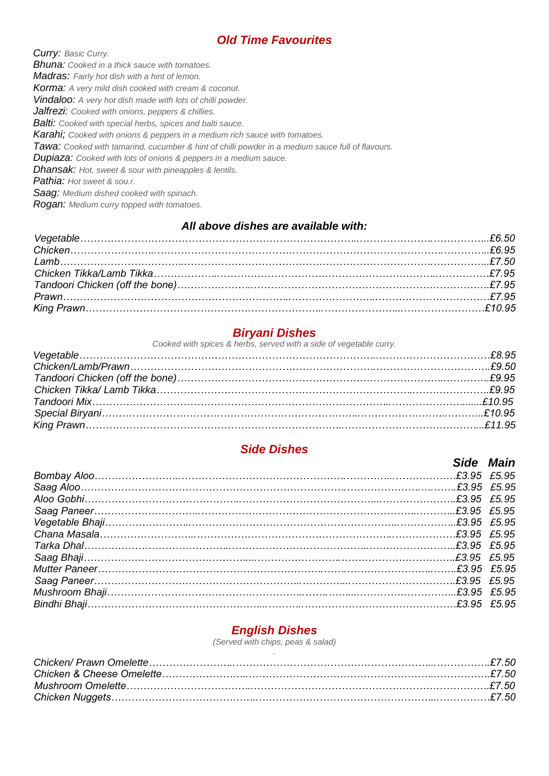## *Old Time Favourites*

*Curry: Basic Curry. Bhuna: Cooked in a thick sauce with tomatoes. Madras: Fairly hot dish with a hint of lemon. Korma: A very mild dish cooked with cream & coconut. Vindaloo: A very hot dish made with lots of chilli powder. Jalfrezi: Cooked with onions, peppers & chillies. Balti: Cooked with special herbs, spices and balti sauce. Karahi; Cooked with onions & peppers in a medium rich sauce with tomatoes. Tawa: Cooked with tamarind, cucumber & hint of chilli powder in a medium sauce full of flavours. Dupiaza: Cooked with lots of onions & peppers in a medium sauce. Dhansak: Hot, sweet & sour with pineapples & lentils. Pathia: Hot sweet & sou.r.*

*Saag: Medium dished cooked with spinach.*

*Rogan: Medium curry topped with tomatoes.*

#### *All above dishes are available with:*

## *Biryani Dishes*

*Cooked with spices & herbs, served with a side of vegetable curry.*

## *Side Dishes*

|  | Side Main |
|--|-----------|
|  |           |
|  |           |
|  |           |
|  |           |
|  |           |
|  |           |
|  |           |
|  |           |
|  |           |
|  |           |
|  |           |
|  |           |

### *English Dishes*

*(Served with chips, peas & salad)*